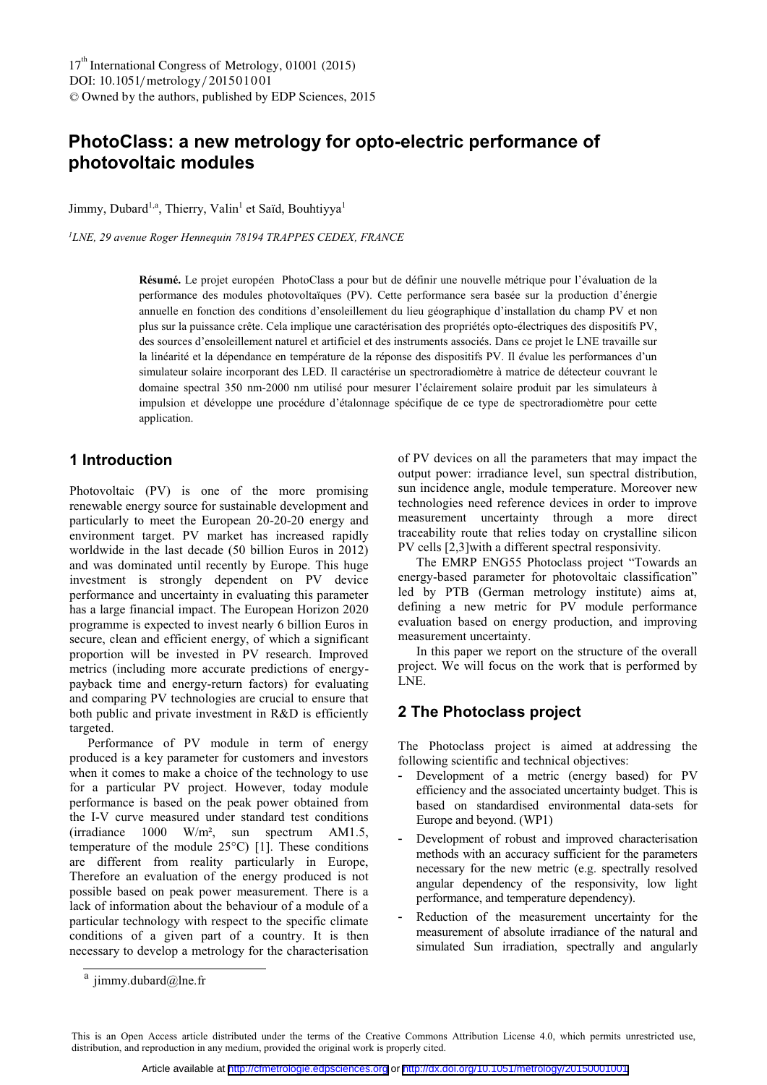# **PhotoClass: a new metrology for opto-electric performance of photovoltaic modules**

Jimmy, Dubard<sup>1,a</sup>, Thierry, Valin<sup>1</sup> et Saïd, Bouhtiyya<sup>1</sup>

*1LNE, 29 avenue Roger Hennequin 78194 TRAPPES CEDEX, FRANCE* 

**Résumé.** Le projet européen PhotoClass a pour but de définir une nouvelle métrique pour l'évaluation de la performance des modules photovoltaïques (PV). Cette performance sera basée sur la production d'énergie annuelle en fonction des conditions d'ensoleillement du lieu géographique d'installation du champ PV et non plus sur la puissance crête. Cela implique une caractérisation des propriétés opto-électriques des dispositifs PV, des sources d'ensoleillement naturel et artificiel et des instruments associés. Dans ce projet le LNE travaille sur la linéarité et la dépendance en température de la réponse des dispositifs PV. Il évalue les performances d'un simulateur solaire incorporant des LED. Il caractérise un spectroradiomètre à matrice de détecteur couvrant le domaine spectral 350 nm-2000 nm utilisé pour mesurer l'éclairement solaire produit par les simulateurs à impulsion et développe une procédure d'étalonnage spécifique de ce type de spectroradiomètre pour cette application.

## **1 Introduction**

Photovoltaic (PV) is one of the more promising renewable energy source for sustainable development and particularly to meet the European 20-20-20 energy and environment target. PV market has increased rapidly worldwide in the last decade (50 billion Euros in 2012) and was dominated until recently by Europe. This huge investment is strongly dependent on PV device performance and uncertainty in evaluating this parameter has a large financial impact. The European Horizon 2020 programme is expected to invest nearly 6 billion Euros in secure, clean and efficient energy, of which a significant proportion will be invested in PV research. Improved metrics (including more accurate predictions of energypayback time and energy-return factors) for evaluating and comparing PV technologies are crucial to ensure that both public and private investment in R&D is efficiently targeted.

Performance of PV module in term of energy produced is a key parameter for customers and investors when it comes to make a choice of the technology to use for a particular PV project. However, today module performance is based on the peak power obtained from the I-V curve measured under standard test conditions (irradiance 1000 W/m², sun spectrum AM1.5, temperature of the module 25°C) [1]. These conditions are different from reality particularly in Europe, Therefore an evaluation of the energy produced is not possible based on peak power measurement. There is a lack of information about the behaviour of a module of a particular technology with respect to the specific climate conditions of a given part of a country. It is then necessary to develop a metrology for the characterisation of PV devices on all the parameters that may impact the output power: irradiance level, sun spectral distribution, sun incidence angle, module temperature. Moreover new technologies need reference devices in order to improve measurement uncertainty through a more direct traceability route that relies today on crystalline silicon PV cells [2,3]with a different spectral responsivity.

The EMRP ENG55 Photoclass project "Towards an energy-based parameter for photovoltaic classification" led by PTB (German metrology institute) aims at, defining a new metric for PV module performance evaluation based on energy production, and improving measurement uncertainty.

In this paper we report on the structure of the overall project. We will focus on the work that is performed by LNE.

### **2 The Photoclass project**

The Photoclass project is aimed at addressing the following scientific and technical objectives:

- Development of a metric (energy based) for PV efficiency and the associated uncertainty budget. This is based on standardised environmental data-sets for Europe and beyond. (WP1)
- Development of robust and improved characterisation methods with an accuracy sufficient for the parameters necessary for the new metric (e.g. spectrally resolved angular dependency of the responsivity, low light performance, and temperature dependency).
- Reduction of the measurement uncertainty for the measurement of absolute irradiance of the natural and simulated Sun irradiation, spectrally and angularly

<sup>&</sup>lt;sup>a</sup> jimmy.dubard@lne.fr

This is an Open Access article distributed under the terms of the Creative Commons Attribution License 4.0, which permits unrestricted use, distribution, and reproduction in any medium, provided the original work is properly cited.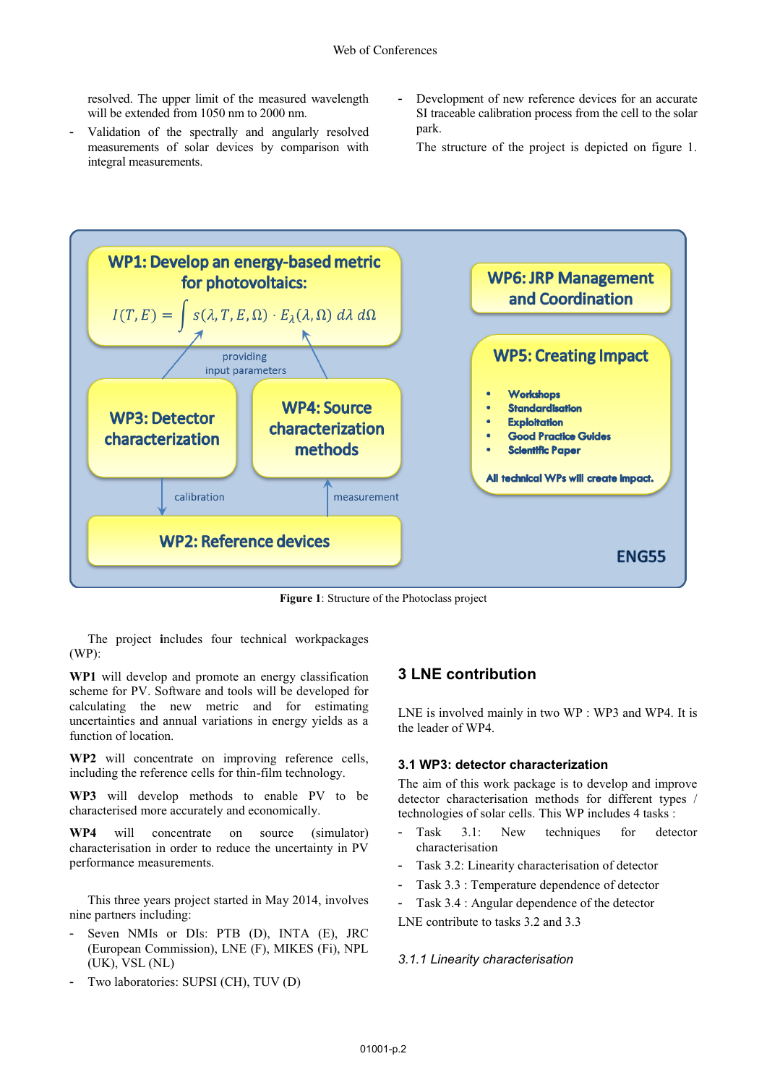resolved. The upper limit of the measured wavelength will be extended from 1050 nm to 2000 nm.

- Validation of the spectrally and angularly resolved measurements of solar devices by comparison with integral measurements.
- Development of new reference devices for an accurate SI traceable calibration process from the cell to the solar park.
	- The structure of the project is depicted on figure 1.



**Figure 1**: Structure of the Photoclass project

The project **i**ncludes four technical workpackages (WP):

**WP1** will develop and promote an energy classification scheme for PV. Software and tools will be developed for calculating the new metric and for estimating uncertainties and annual variations in energy yields as a function of location.

**WP2** will concentrate on improving reference cells, including the reference cells for thin-film technology.

**WP3** will develop methods to enable PV to be characterised more accurately and economically.

**WP4** will concentrate on source (simulator) characterisation in order to reduce the uncertainty in PV performance measurements.

This three years project started in May 2014, involves nine partners including:

- Seven NMIs or DIs: PTB (D), INTA (E), JRC (European Commission), LNE (F), MIKES (Fi), NPL (UK), VSL (NL)
- Two laboratories: SUPSI (CH), TUV (D)

### **3 LNE contribution**

LNE is involved mainly in two WP : WP3 and WP4. It is the leader of WP4.

#### **3.1 WP3: detector characterization**

The aim of this work package is to develop and improve detector characterisation methods for different types / technologies of solar cells. This WP includes 4 tasks :

- Task 3.1: New techniques for detector characterisation
- Task 3.2: Linearity characterisation of detector
- Task 3.3 : Temperature dependence of detector
- Task 3.4 : Angular dependence of the detector
- LNE contribute to tasks 3.2 and 3.3

#### *3.1.1 Linearity characterisation*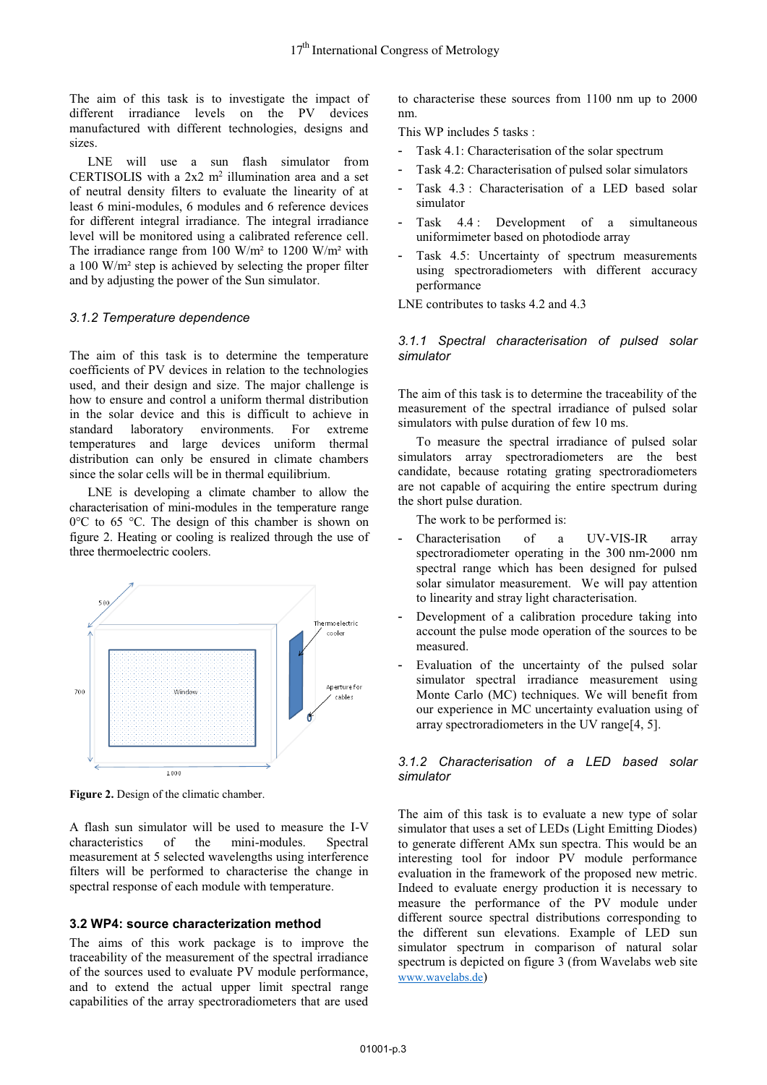The aim of this task is to investigate the impact of different irradiance levels on the PV devices manufactured with different technologies, designs and sizes.

LNE will use a sun flash simulator from CERTISOLIS with a  $2x2$  m<sup>2</sup> illumination area and a set of neutral density filters to evaluate the linearity of at least 6 mini-modules, 6 modules and 6 reference devices for different integral irradiance. The integral irradiance level will be monitored using a calibrated reference cell. The irradiance range from 100 W/m² to 1200 W/m² with a 100 W/m² step is achieved by selecting the proper filter and by adjusting the power of the Sun simulator.

#### *3.1.2 Temperature dependence*

The aim of this task is to determine the temperature coefficients of PV devices in relation to the technologies used, and their design and size. The major challenge is how to ensure and control a uniform thermal distribution in the solar device and this is difficult to achieve in standard laboratory environments. For extreme temperatures and large devices uniform thermal distribution can only be ensured in climate chambers since the solar cells will be in thermal equilibrium.

LNE is developing a climate chamber to allow the characterisation of mini-modules in the temperature range 0°C to 65 °C. The design of this chamber is shown on figure 2. Heating or cooling is realized through the use of three thermoelectric coolers.



**Figure 2.** Design of the climatic chamber.

A flash sun simulator will be used to measure the I-V characteristics of the mini-modules. Spectral measurement at 5 selected wavelengths using interference filters will be performed to characterise the change in spectral response of each module with temperature.

#### **3.2 WP4: source characterization method**

The aims of this work package is to improve the traceability of the measurement of the spectral irradiance of the sources used to evaluate PV module performance, and to extend the actual upper limit spectral range capabilities of the array spectroradiometers that are used

to characterise these sources from 1100 nm up to 2000 nm.

This WP includes 5 tasks :

- Task 4.1: Characterisation of the solar spectrum
- Task 4.2: Characterisation of pulsed solar simulators
- Task 4.3 : Characterisation of a LED based solar simulator
- Task 4.4 : Development of a simultaneous uniformimeter based on photodiode array
- Task 4.5: Uncertainty of spectrum measurements using spectroradiometers with different accuracy performance

LNE contributes to tasks 4.2 and 4.3

*3.1.1 Spectral characterisation of pulsed solar simulator* 

The aim of this task is to determine the traceability of the measurement of the spectral irradiance of pulsed solar simulators with pulse duration of few 10 ms.

To measure the spectral irradiance of pulsed solar simulators array spectroradiometers are the best candidate, because rotating grating spectroradiometers are not capable of acquiring the entire spectrum during the short pulse duration.

The work to be performed is:

- Characterisation of a UV-VIS-IR array spectroradiometer operating in the 300 nm-2000 nm spectral range which has been designed for pulsed solar simulator measurement. We will pay attention to linearity and stray light characterisation.
- Development of a calibration procedure taking into account the pulse mode operation of the sources to be measured.
- Evaluation of the uncertainty of the pulsed solar simulator spectral irradiance measurement using Monte Carlo (MC) techniques. We will benefit from our experience in MC uncertainty evaluation using of array spectroradiometers in the UV range[4, 5].

#### *3.1.2 Characterisation of a LED based solar simulator*

The aim of this task is to evaluate a new type of solar simulator that uses a set of LEDs (Light Emitting Diodes) to generate different AMx sun spectra. This would be an interesting tool for indoor PV module performance evaluation in the framework of the proposed new metric. Indeed to evaluate energy production it is necessary to measure the performance of the PV module under different source spectral distributions corresponding to the different sun elevations. Example of LED sun simulator spectrum in comparison of natural solar spectrum is depicted on figure 3 (from Wavelabs web site www.wavelabs.de)